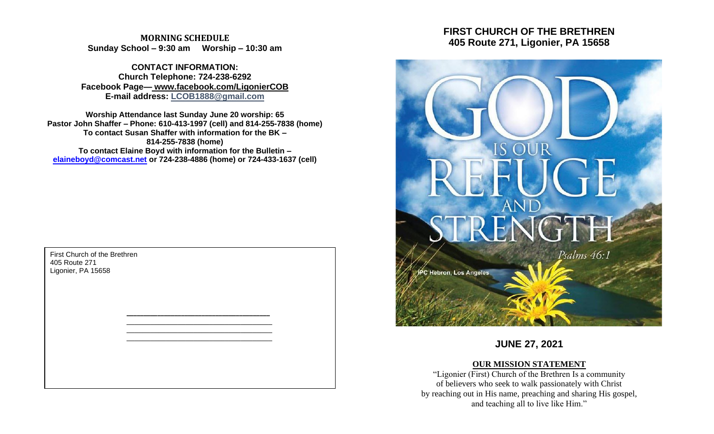**MORNING SCHEDULE Sunday School – 9:30 am Worship – 10:30 am**

**CONTACT INFORMATION: Church Telephone: 724-238-6292 Facebook Page— www.facebook.com/LigonierCOB E-mail address: LCOB1888@gmail.com**

**Worship Attendance last Sunday June 20 worship: 65 Pastor John Shaffer – Phone: 610-413-1997 (cell) and 814-255-7838 (home) To contact Susan Shaffer with information for the BK – 814-255-7838 (home) To contact Elaine Boyd with information for the Bulletin – [elaineboyd@comcast.net](mailto:elaineboyd@comcast.net) or 724-238-4886 (home) or 724-433-1637 (cell)**

> **\_\_\_\_\_\_\_\_\_\_\_\_\_\_\_\_\_\_\_\_\_\_\_\_\_\_\_\_\_\_\_\_\_\_\_\_\_\_\_\_\_\_** \_\_\_\_\_\_\_\_\_\_\_\_\_\_\_\_\_\_\_\_\_\_\_\_\_\_\_\_\_\_\_\_\_\_\_\_\_ \_\_\_\_\_\_\_\_\_\_\_\_\_\_\_\_\_\_\_\_\_\_\_\_\_\_\_\_\_\_\_\_\_\_\_\_\_ \_\_\_\_\_\_\_\_\_\_\_\_\_\_\_\_\_\_\_\_\_\_\_\_\_\_\_\_\_\_\_\_\_\_\_\_\_

First Church of the Brethren 405 Route 271 Ligonier, PA 15658

# **FIRST CHURCH OF THE BRETHREN 405 Route 271, Ligonier, PA 15658**



**JUNE 27, 2021**

## **OUR MISSION STATEMENT**

"Ligonier (First) Church of the Brethren Is a community of believers who seek to walk passionately with Christ by reaching out in His name, preaching and sharing His gospel, and teaching all to live like Him."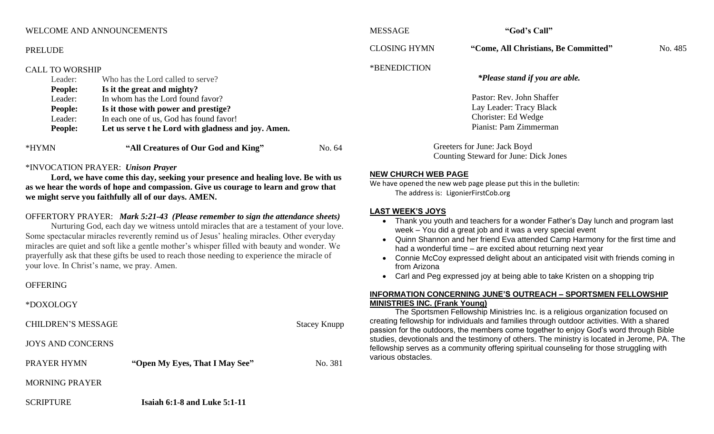#### WELCOME AND ANNOUNCEMENTS

#### PRELUDE

#### CALL TO WORSHIP

| <b>People:</b> | Let us serve t he Lord with gladness and joy. Amen. |  |
|----------------|-----------------------------------------------------|--|
| Leader:        | In each one of us, God has found favor!             |  |
| <b>People:</b> | Is it those with power and prestige?                |  |
| Leader:        | In whom has the Lord found favor?                   |  |
| <b>People:</b> | Is it the great and mighty?                         |  |
| Leader:        | Who has the Lord called to serve?                   |  |
|                |                                                     |  |

#### \*INVOCATION PRAYER: *Unison Prayer*

**Lord, we have come this day, seeking your presence and healing love. Be with us as we hear the words of hope and compassion. Give us courage to learn and grow that we might serve you faithfully all of our days. AMEN.**

#### OFFERTORY PRAYER: *Mark 5:21-43 (Please remember to sign the attendance sheets)*

Nurturing God, each day we witness untold miracles that are a testament of your love. Some spectacular miracles reverently remind us of Jesus' healing miracles. Other everyday miracles are quiet and soft like a gentle mother's whisper filled with beauty and wonder. We prayerfully ask that these gifts be used to reach those needing to experience the miracle of your love. In Christ's name, we pray. Amen.

#### **OFFERING**

#### \*DOXOLOGY

CHILDREN'S MESSAGE Stacey Knupp

JOYS AND CONCERNS

PRAYER HYMN **"Open My Eyes, That I May See"** No. 381

## MORNING PRAYER

SCRIPTURE **Isaiah 6:1-8 and Luke 5:1-11**

CLOSING HYMN **"Come, All Christians, Be Committed"** No. 485

#### \*BENEDICTION *\*Please stand if you are able.*

Pastor: Rev. John Shaffer Lay Leader: Tracy Black Chorister: Ed Wedge

Pianist: Pam Zimmerman

Greeters for June: Jack Boyd Counting Steward for June: Dick Jones

#### **NEW CHURCH WEB PAGE**

We have opened the new web page please put this in the bulletin: The address is: LigonierFirstCob.org

#### **LAST WEEK'S JOYS**

- Thank you youth and teachers for a wonder Father's Day lunch and program last week – You did a great job and it was a very special event
- Quinn Shannon and her friend Eva attended Camp Harmony for the first time and had a wonderful time – are excited about returning next year
- Connie McCoy expressed delight about an anticipated visit with friends coming in from Arizona

• Carl and Peg expressed joy at being able to take Kristen on a shopping trip

#### **INFORMATION CONCERNING JUNE'S OUTREACH – SPORTSMEN FELLOWSHIP MINISTRIES INC. (Frank Young)**

The Sportsmen Fellowship Ministries Inc. is a religious organization focused on creating fellowship for individuals and families through outdoor activities. With a shared passion for the outdoors, the members come together to enjoy God's word through Bible studies, devotionals and the testimony of others. The ministry is located in Jerome, PA. The fellowship serves as a community offering spiritual counseling for those struggling with various obstacles.

MESSAGE **"God's Call"**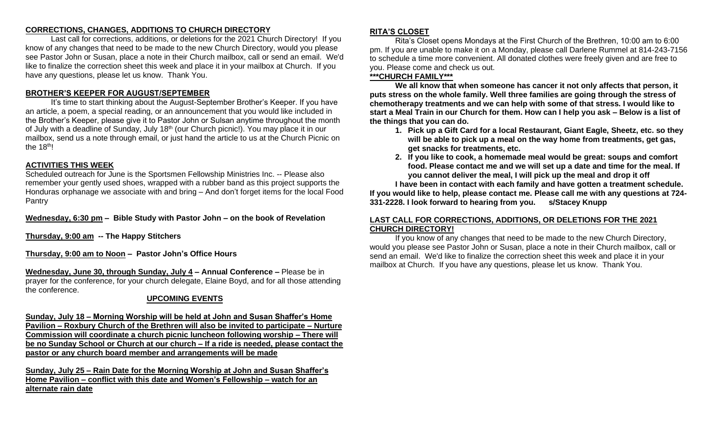## **CORRECTIONS, CHANGES, ADDITIONS TO CHURCH DIRECTORY**

Last call for corrections, additions, or deletions for the 2021 Church Directory! If you know of any changes that need to be made to the new Church Directory, would you please see Pastor John or Susan, place a note in their Church mailbox, call or send an email. We'd like to finalize the correction sheet this week and place it in your mailbox at Church. If you have any questions, please let us know. Thank You.

## **BROTHER'S KEEPER FOR AUGUST/SEPTEMBER**

It's time to start thinking about the August-September Brother's Keeper. If you have an article, a poem, a special reading, or an announcement that you would like included in the Brother's Keeper, please give it to Pastor John or Sulsan anytime throughout the month of July with a deadline of Sunday, July 18<sup>th</sup> (our Church picnic!). You may place it in our mailbox, send us a note through email, or just hand the article to us at the Church Picnic on the  $18<sup>th</sup>!$ 

## **ACTIVITIES THIS WEEK**

Scheduled outreach for June is the Sportsmen Fellowship Ministries Inc. -- Please also remember your gently used shoes, wrapped with a rubber band as this project supports the Honduras orphanage we associate with and bring – And don't forget items for the local Food Pantry

**Wednesday, 6:30 pm – Bible Study with Pastor John – on the book of Revelation**

**Thursday, 9:00 am -- The Happy Stitchers**

**Thursday, 9:00 am to Noon – Pastor John's Office Hours**

**Wednesday, June 30, through Sunday, July 4 – Annual Conference –** Please be in prayer for the conference, for your church delegate, Elaine Boyd, and for all those attending the conference.

## **UPCOMING EVENTS**

**Sunday, July 18 – Morning Worship will be held at John and Susan Shaffer's Home Pavilion – Roxbury Church of the Brethren will also be invited to participate – Nurture Commission will coordinate a church picnic luncheon following worship – There will be no Sunday School or Church at our church – If a ride is needed, please contact the pastor or any church board member and arrangements will be made**

**Sunday, July 25 – Rain Date for the Morning Worship at John and Susan Shaffer's Home Pavilion – conflict with this date and Women's Fellowship – watch for an alternate rain date**

## **RITA'S CLOSET**

Rita's Closet opens Mondays at the First Church of the Brethren, 10:00 am to 6:00 pm. If you are unable to make it on a Monday, please call Darlene Rummel at 814-243-7156 to schedule a time more convenient. All donated clothes were freely given and are free to you. Please come and check us out.

## **\*\*\*CHURCH FAMILY\*\*\***

**We all know that when someone has cancer it not only affects that person, it puts stress on the whole family. Well three families are going through the stress of chemotherapy treatments and we can help with some of that stress. I would like to start a Meal Train in our Church for them. How can I help you ask – Below is a list of the things that you can do.**

- **1. Pick up a Gift Card for a local Restaurant, Giant Eagle, Sheetz, etc. so they will be able to pick up a meal on the way home from treatments, get gas, get snacks for treatments, etc.**
- **2. If you like to cook, a homemade meal would be great: soups and comfort food. Please contact me and we will set up a date and time for the meal. If you cannot deliver the meal, I will pick up the meal and drop it off**

**I have been in contact with each family and have gotten a treatment schedule. If you would like to help, please contact me. Please call me with any questions at 724- 331-2228. I look forward to hearing from you. s/Stacey Knupp**

## **LAST CALL FOR CORRECTIONS, ADDITIONS, OR DELETIONS FOR THE 2021 CHURCH DIRECTORY!**

If you know of any changes that need to be made to the new Church Directory, would you please see Pastor John or Susan, place a note in their Church mailbox, call or send an email. We'd like to finalize the correction sheet this week and place it in your mailbox at Church. If you have any questions, please let us know. Thank You.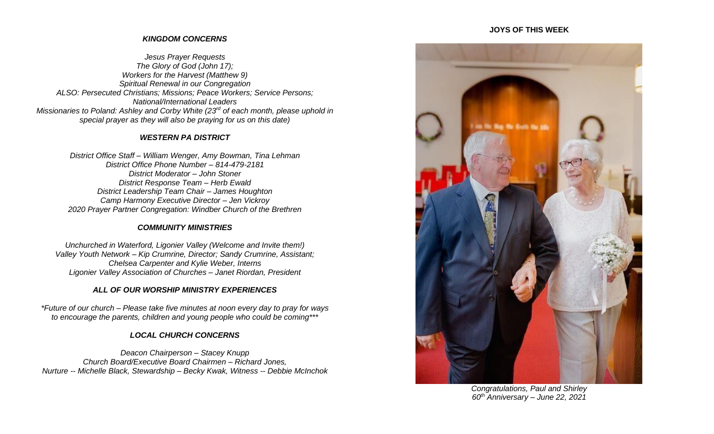#### **JOYS OF THIS WEEK**

## *KINGDOM CONCERNS*

*Jesus Prayer Requests The Glory of God (John 17); Workers for the Harvest (Matthew 9) Spiritual Renewal in our Congregation ALSO: Persecuted Christians; Missions; Peace Workers; Service Persons; National/International Leaders Missionaries to Poland: Ashley and Corby White (23rd of each month, please uphold in special prayer as they will also be praying for us on this date)*

#### *WESTERN PA DISTRICT*

*District Office Staff – William Wenger, Amy Bowman, Tina Lehman District Office Phone Number – 814-479-2181 District Moderator – John Stoner District Response Team – Herb Ewald District Leadership Team Chair – James Houghton Camp Harmony Executive Director – Jen Vickroy 2020 Prayer Partner Congregation: Windber Church of the Brethren*

## *COMMUNITY MINISTRIES*

*Unchurched in Waterford, Ligonier Valley (Welcome and Invite them!) Valley Youth Network – Kip Crumrine, Director; Sandy Crumrine, Assistant; Chelsea Carpenter and Kylie Weber, Interns Ligonier Valley Association of Churches – Janet Riordan, President*

## *ALL OF OUR WORSHIP MINISTRY EXPERIENCES*

*\*Future of our church – Please take five minutes at noon every day to pray for ways to encourage the parents, children and young people who could be coming\*\*\**

## *LOCAL CHURCH CONCERNS*

*Deacon Chairperson – Stacey Knupp Church Board/Executive Board Chairmen – Richard Jones, Nurture -- Michelle Black, Stewardship – Becky Kwak, Witness -- Debbie McInchok*



*Congratulations, Paul and Shirley 60th Anniversary – June 22, 2021*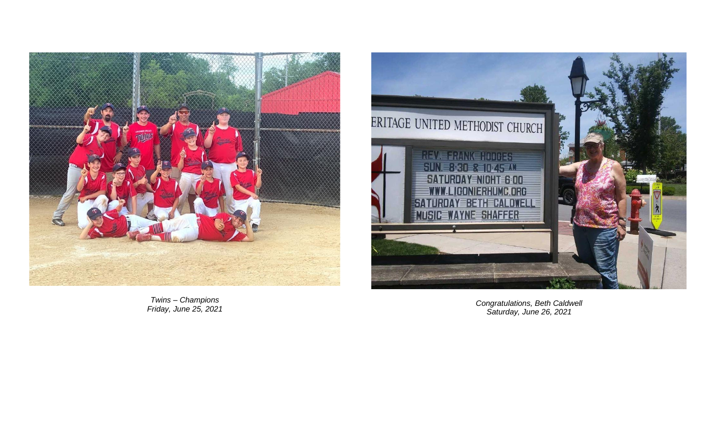

*Twins – Champions Friday, June 25, 2021*



*Congratulations, Beth Caldwell Saturday, June 26, 2021*